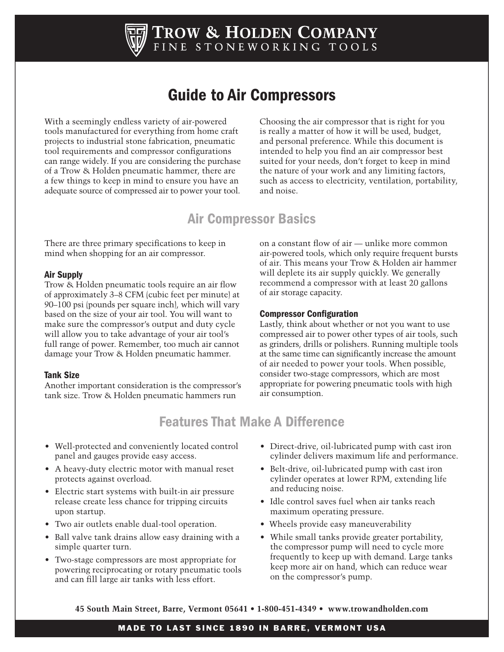

# Guide to Air Compressors

With a seemingly endless variety of air-powered tools manufactured for everything from home craft projects to industrial stone fabrication, pneumatic tool requirements and compressor configurations can range widely. If you are considering the purchase of a Trow & Holden pneumatic hammer, there are a few things to keep in mind to ensure you have an adequate source of compressed air to power your tool.

Choosing the air compressor that is right for you is really a matter of how it will be used, budget, and personal preference. While this document is intended to help you find an air compressor best suited for your needs, don't forget to keep in mind the nature of your work and any limiting factors, such as access to electricity, ventilation, portability, and noise.

### Air Compressor Basics

There are three primary specifications to keep in mind when shopping for an air compressor.

#### Air Supply

Trow & Holden pneumatic tools require an air flow of approximately 3–8 CFM (cubic feet per minute) at 90–100 psi (pounds per square inch), which will vary based on the size of your air tool. You will want to make sure the compressor's output and duty cycle will allow you to take advantage of your air tool's full range of power. Remember, too much air cannot damage your Trow & Holden pneumatic hammer.

#### Tank Size

Another important consideration is the compressor's tank size. Trow & Holden pneumatic hammers run

on a constant flow of air — unlike more common air-powered tools, which only require frequent bursts of air. This means your Trow & Holden air hammer will deplete its air supply quickly. We generally recommend a compressor with at least 20 gallons of air storage capacity.

#### Compressor Configuration

Lastly, think about whether or not you want to use compressed air to power other types of air tools, such as grinders, drills or polishers. Running multiple tools at the same time can significantly increase the amount of air needed to power your tools. When possible, consider two-stage compressors, which are most appropriate for powering pneumatic tools with high air consumption.

## Features That Make A Difference

- Well-protected and conveniently located control panel and gauges provide easy access.
- A heavy-duty electric motor with manual reset protects against overload.
- Electric start systems with built-in air pressure release create less chance for tripping circuits upon startup.
- Two air outlets enable dual-tool operation.
- Ball valve tank drains allow easy draining with a simple quarter turn.
- Two-stage compressors are most appropriate for powering reciprocating or rotary pneumatic tools and can fill large air tanks with less effort.
- Direct-drive, oil-lubricated pump with cast iron cylinder delivers maximum life and performance.
- Belt-drive, oil-lubricated pump with cast iron cylinder operates at lower RPM, extending life and reducing noise.
- Idle control saves fuel when air tanks reach maximum operating pressure.
- Wheels provide easy maneuverability
- While small tanks provide greater portability, the compressor pump will need to cycle more frequently to keep up with demand. Large tanks keep more air on hand, which can reduce wear on the compressor's pump.

**45 South Main Street, Barre, Vermont 05641 • 1-800-451-4349 • www.trowandholden.com**

#### MADE TO LAST SINCE 1890 IN BARRE, VERMONT USA